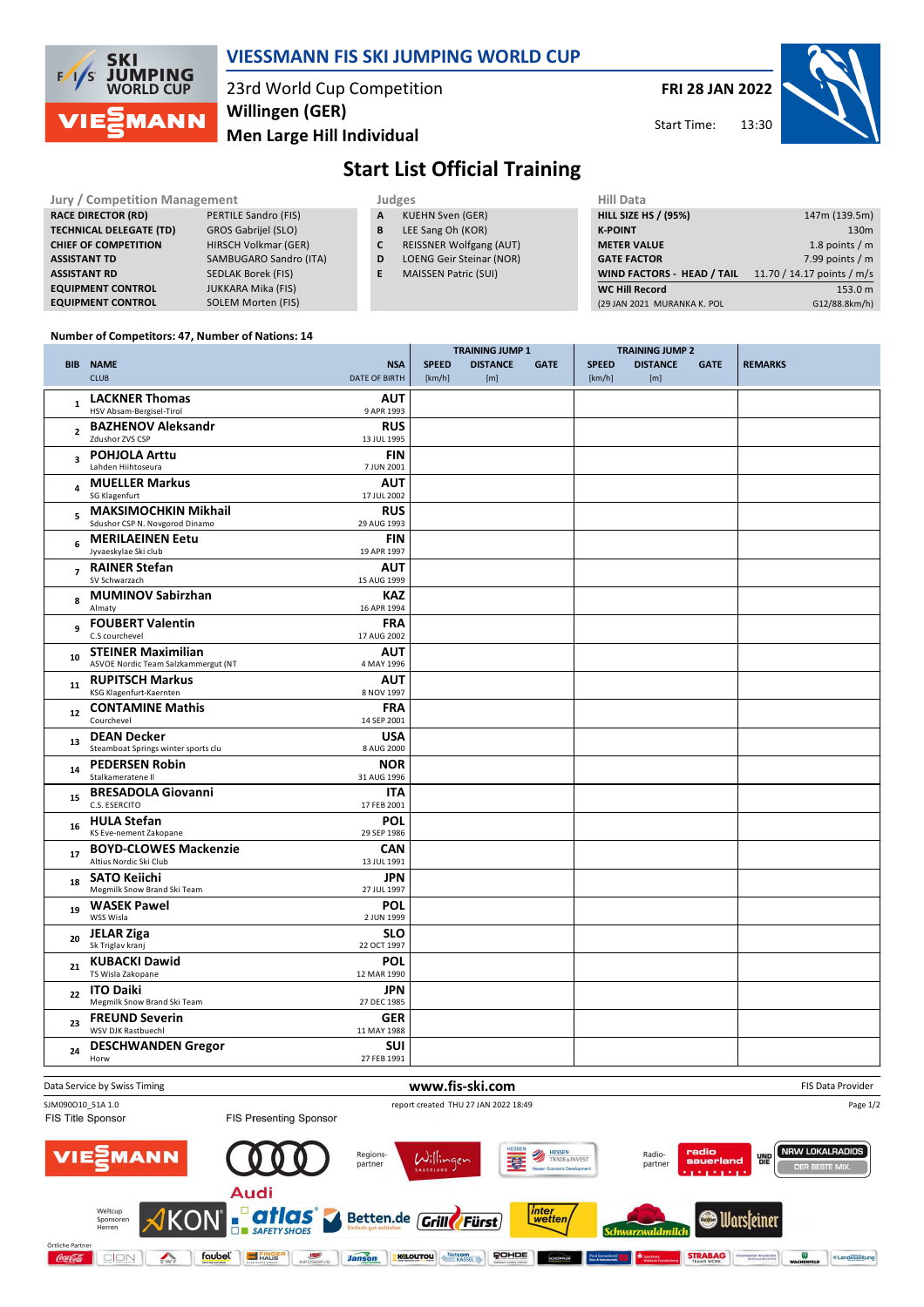

### **VIESSMANN FIS SKI JUMPING WORLD CUP**

23rd World Cup Competition **Men Large Hill Individual Willingen (GER)**

**FRI 28 JAN 2022**

Start Time:



# **Start List Official Training**

| <b>Jury / Competition Management</b> |  |                             |    | <b>Judges</b>                  | <b>Hill Data</b>                  |                            |  |  |
|--------------------------------------|--|-----------------------------|----|--------------------------------|-----------------------------------|----------------------------|--|--|
| <b>RACE DIRECTOR (RD)</b>            |  | PERTILE Sandro (FIS)        | A  | KUEHN Sven (GER)               | <b>HILL SIZE HS / (95%)</b>       | 147m (139.5m)              |  |  |
| <b>TECHNICAL DELEGATE (TD)</b>       |  | GROS Gabrijel (SLO)         | В  | LEE Sang Oh (KOR)              | <b>K-POINT</b>                    | 130m                       |  |  |
| <b>CHIEF OF COMPETITION</b>          |  | <b>HIRSCH Volkmar (GER)</b> |    | <b>REISSNER Wolfgang (AUT)</b> | <b>METER VALUE</b>                | 1.8 points / $m$           |  |  |
| <b>ASSISTANT TD</b>                  |  | SAMBUGARO Sandro (ITA)      | D  | LOENG Geir Steinar (NOR)       | <b>GATE FACTOR</b>                | 7.99 points / m            |  |  |
| <b>ASSISTANT RD</b>                  |  | SEDLAK Borek (FIS)          | E. | <b>MAISSEN Patric (SUI)</b>    | <b>WIND FACTORS - HEAD / TAIL</b> | 11.70 / 14.17 points / m/s |  |  |
| <b>EQUIPMENT CONTROL</b>             |  | JUKKARA Mika (FIS)          |    |                                | <b>WC Hill Record</b>             | 153.0 m                    |  |  |
| <b>EQUIPMENT CONTROL</b>             |  | SOLEM Morten (FIS)          |    |                                | (29 JAN 2021 MURANKA K. POL       | G12/88.8km/h)              |  |  |

#### **Number of Competitors: 47, Number of Nations: 14**

|                |                                                                  |                             | <b>TRAINING JUMP 1</b> |                        | <b>TRAINING JUMP 2</b> |                        |                        |             |                |
|----------------|------------------------------------------------------------------|-----------------------------|------------------------|------------------------|------------------------|------------------------|------------------------|-------------|----------------|
|                | <b>BIB NAME</b><br><b>CLUB</b>                                   | <b>NSA</b><br>DATE OF BIRTH | <b>SPEED</b><br>[km/h] | <b>DISTANCE</b><br>[m] | <b>GATE</b>            | <b>SPEED</b><br>[km/h] | <b>DISTANCE</b><br>[m] | <b>GATE</b> | <b>REMARKS</b> |
| $\mathbf{1}$   | <b>LACKNER Thomas</b><br>HSV Absam-Bergisel-Tirol                | <b>AUT</b><br>9 APR 1993    |                        |                        |                        |                        |                        |             |                |
| $\overline{2}$ | <b>BAZHENOV Aleksandr</b><br>Zdushor ZVS CSP                     | <b>RUS</b><br>13 JUL 1995   |                        |                        |                        |                        |                        |             |                |
| 3              | <b>POHJOLA Arttu</b><br>Lahden Hiihtoseura                       | <b>FIN</b><br>7 JUN 2001    |                        |                        |                        |                        |                        |             |                |
| 4              | <b>MUELLER Markus</b><br><b>SG Klagenfurt</b>                    | <b>AUT</b><br>17 JUL 2002   |                        |                        |                        |                        |                        |             |                |
| 5              | <b>MAKSIMOCHKIN Mikhail</b><br>Sdushor CSP N. Novgorod Dinamo    | <b>RUS</b><br>29 AUG 1993   |                        |                        |                        |                        |                        |             |                |
| 6              | <b>MERILAEINEN Eetu</b><br>Jyvaeskylae Ski club                  | <b>FIN</b><br>19 APR 1997   |                        |                        |                        |                        |                        |             |                |
| $\overline{7}$ | <b>RAINER Stefan</b><br>SV Schwarzach                            | <b>AUT</b><br>15 AUG 1999   |                        |                        |                        |                        |                        |             |                |
| 8              | <b>MUMINOV Sabirzhan</b><br>Almaty                               | <b>KAZ</b><br>16 APR 1994   |                        |                        |                        |                        |                        |             |                |
| 9              | <b>FOUBERT Valentin</b><br>C.S courchevel                        | <b>FRA</b><br>17 AUG 2002   |                        |                        |                        |                        |                        |             |                |
| 10             | <b>STEINER Maximilian</b><br>ASVOE Nordic Team Salzkammergut (NT | <b>AUT</b><br>4 MAY 1996    |                        |                        |                        |                        |                        |             |                |
| 11             | <b>RUPITSCH Markus</b><br>KSG Klagenfurt-Kaernten                | <b>AUT</b><br>8 NOV 1997    |                        |                        |                        |                        |                        |             |                |
| 12             | <b>CONTAMINE Mathis</b><br>Courchevel                            | <b>FRA</b><br>14 SEP 2001   |                        |                        |                        |                        |                        |             |                |
| 13             | <b>DEAN Decker</b><br>Steamboat Springs winter sports clu        | <b>USA</b><br>8 AUG 2000    |                        |                        |                        |                        |                        |             |                |
| 14             | <b>PEDERSEN Robin</b><br>Stalkameratene II                       | <b>NOR</b><br>31 AUG 1996   |                        |                        |                        |                        |                        |             |                |
| 15             | <b>BRESADOLA Giovanni</b><br>C.S. ESERCITO                       | <b>ITA</b><br>17 FEB 2001   |                        |                        |                        |                        |                        |             |                |
| 16             | <b>HULA Stefan</b><br>KS Eve-nement Zakopane                     | <b>POL</b><br>29 SEP 1986   |                        |                        |                        |                        |                        |             |                |
| 17             | <b>BOYD-CLOWES Mackenzie</b><br>Altius Nordic Ski Club           | <b>CAN</b><br>13 JUL 1991   |                        |                        |                        |                        |                        |             |                |
| 18             | <b>SATO Keiichi</b><br>Megmilk Snow Brand Ski Team               | <b>JPN</b><br>27 JUL 1997   |                        |                        |                        |                        |                        |             |                |
| 19             | <b>WASEK Pawel</b><br>WSS Wisla                                  | <b>POL</b><br>2 JUN 1999    |                        |                        |                        |                        |                        |             |                |
| 20             | <b>JELAR Ziga</b><br>Sk Triglav kranj                            | <b>SLO</b><br>22 OCT 1997   |                        |                        |                        |                        |                        |             |                |
| 21             | <b>KUBACKI Dawid</b><br>TS Wisla Zakopane                        | <b>POL</b><br>12 MAR 1990   |                        |                        |                        |                        |                        |             |                |
| 22             | <b>ITO Daiki</b><br>Megmilk Snow Brand Ski Team                  | JPN<br>27 DEC 1985          |                        |                        |                        |                        |                        |             |                |
| 23             | <b>FREUND Severin</b><br>WSV DJK Rastbuechl                      | <b>GER</b><br>11 MAY 1988   |                        |                        |                        |                        |                        |             |                |
| 24             | <b>DESCHWANDEN Gregor</b><br>Horw                                | <b>SUI</b><br>27 FEB 1991   |                        |                        |                        |                        |                        |             |                |